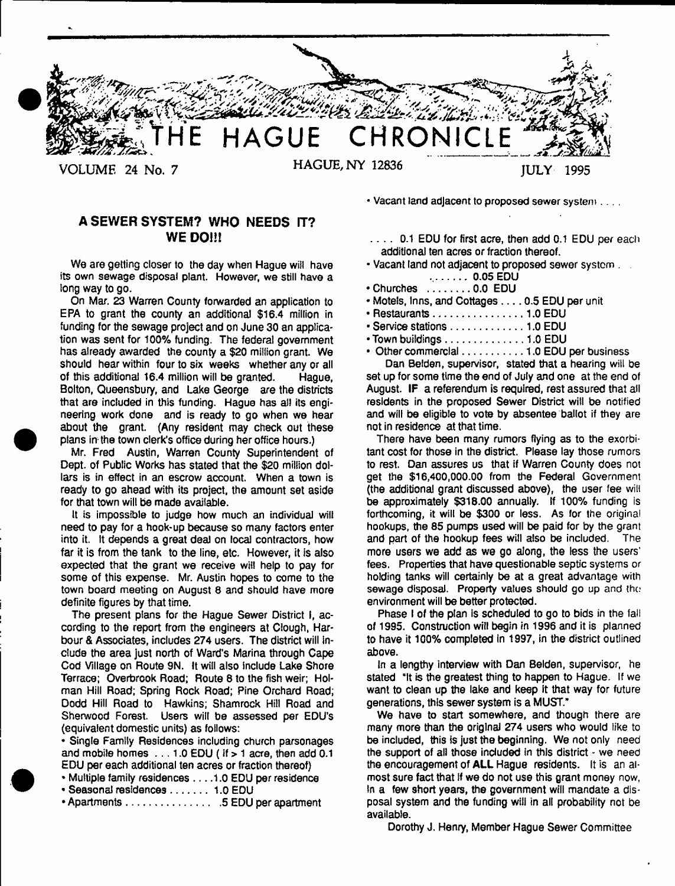

**A SEWER SYSTEM? WHO NEEDS IT? WE DO!!!**

**We are getting closer to the day when Hague will have its own sewage disposal plant. However, we still have a long way to go.**

**On Mar. 23 Warren County forwarded an application to EPA to grant the county an additional \$16.4 million in funding for the sewage project and on June 30 an application was sent for 100% funding. The federal government has already awarded the county a \$20 million grant. We should hear within four to six weeks whether any or all of this additional 16.4 million will be granted. Hague, Bolton, Queensbury, and Lake George are the districts that are included in this funding. Hague has all its engineering work done and is ready to go when we hear about the grant. (Any resident may check out these plans ln; the town clerk's office during her office hours.)**

**Mr. Fred Austin, Warren County Superintendent of Dept, of Public Works has stated that the \$20 million dollars is in effect in an escrow account. When a town is ready to go ahead with its project, the amount set aside for that town will be made available.**

**It is impossible to judge how much an individual will need to pay for a hook-up because so many factors enter into it. It depends a great deal on local contractors, how far it is from the tank to the line, etc. However, it is also expected that the grant we receive wit! help to pay for some of this expense. Mr. Austin hopes to come to the town board meeting on August 8 and should have more definite figures by that time.**

**The present plans for the Hague Sewer District I, according to the report from the engineers at Clough, Harbour & Associates, includes 274 users. The district will include the area just north of Ward's Marina through Cape Cod Village on Route 9N. It will also include Lake Shore Terrace; Overbrook Road; Route 8 to the fish weir; Holman Hill Road; Spring Rock Road; Pine Orchard Road; Dodd Hill Road to Hawkins; Shamrock Hill Road and Sherwood Forest. Users will be assessed per EDU's (equivalent domestic units) as follows:**

**\* Single Family Residences including church parsonages and mobile homes . . . 1.0 EDU ( if > 1 acre, then add 0.1 EDU per each additional ten acres or fraction thereof)**

- **\* Multiple family residences . . . .1.0 EDU per residence**
- **Seasonal residences 1.0 EDU**

**• Apartments.................................. 5 EDU per apartment**

**\* Vacant land adjacent to proposed sewer system**

**. . . . 0.1 EDU for first acre, then add 0.1 EDU per each additional ten acres or fraction thereof.**

- **Vacant land not adjacent to proposed sewer system . 0.05 EDU**
- **Churches ...............0,0 EDU**
- **Motels, Inns, and Cottages .... 0.5 EDU per unit**
- **Restaurants................................ 1.0 EDU**
- **Service stations..........................1.0 EDU**
- **Town buildings............................1.0 EDU**

**• Other commercial..................... 1.0 EDU per business**

**Dan Belden, supervisor, stated that a hearing will be set up for some time the end of July and one at the end of August. IF a referendum is required, rest assured that all residents in the proposed Sewer District will be notified and will be eligible to vote by absentee ballot if they are not in residence at that time.**

**There have been many rumors flying as to the exorbitant cost for those in the district. Please lay those rumors to rest. Dan assures us that if Warren County does not get the \$16,400,000.00 from the Federal Government (the additional grant discussed above), the user fee will be approximately \$318.00 annually. If 100% funding is forthcoming, it will be \$300 or less. As for the original hookups, the 85 pumps used will be paid for by the grant and part of the hookup fees will also be included. The more users we add as we go along, the less the users' fees. Properties that have questionable septic systems or holding tanks will certainly be at a great advantage with sewage disposal. Property values should go up and the environment will be better protected.**

**Phase I of the plan is scheduled to go to bids in the fall of 1995. Construction will begin in 1996 and it is planned to have it 100% completed in 1997, in the district outlined above.**

**In a lengthy interview with Dan Belden, supervisor, he stated "It is the greatest thing to happen to Hague. If we want to clean up the lake and keep it that way for future generations, this sewer system is a MUST."**

**We have to start somewhere, and though there are many more than the original 274 users who would like to be included, this is just the beginning. We not only need the support of all those included in this district - we need the encouragement of ALL Hague residents. It is an almost sure fact that if we do not use this grant money now, in a few short years, the government will mandate a disposal system and the funding will in all probability not be available.**

**Dorothy J. Henry, Member Hague Sewer Committee**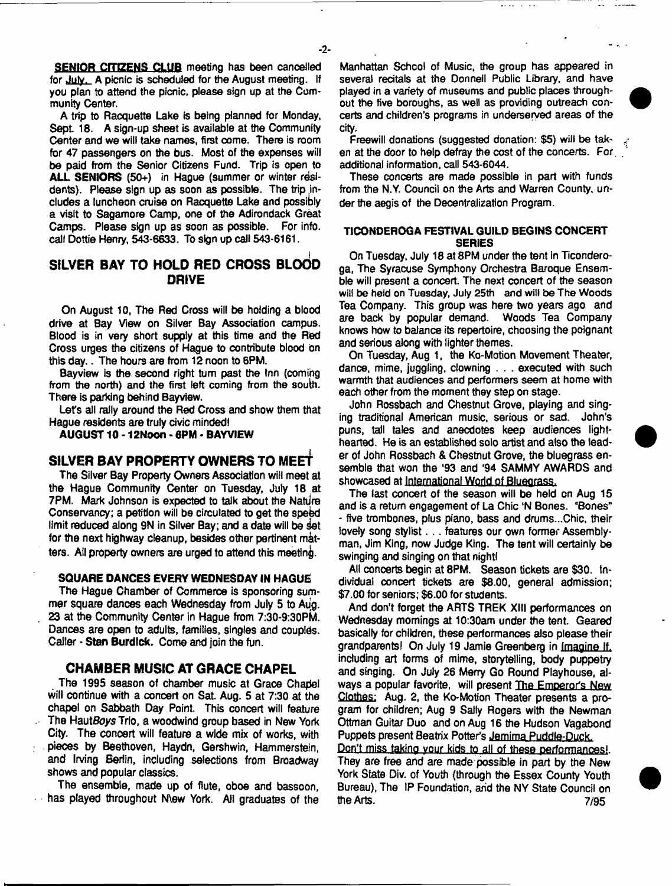**SENIOR CITIZENS CLUB** meeting has been cancelled **for July. A picnic is scheduled for the August meeting. If you plan to attend the picnic, please sign up at the Community Center.**

**A trip to Racquette Lake is being planned for Monday,** Sept. 18. A sign-up sheet is available at the Community **Center and we will take names, first come. There is room for 47 passengers on the bus. Most of the expenses will be paid from the Senior Citizens Fund. Trip is open to ALL SENIORS (50+) in Hague (summer or winter residents). Please sign up as soon as possible. The trip includes a luncheon cruise on Racquette Lake and possibly a visit to Sagamore Camp, one of the Adirondack Great Camps. Please sign up as soon as possible. For info, call Dottie Henry, 543-6633. To sign up call 543\*6161.**

# **SILVER BAY TO HOLD RED CROSS BLOOD DRIVE**

**On August 10, The Red Cross will be holding a blood drive at Bay View on Silver Bay Association campus. Blood is in very short supply at this time and the Red Cross urges the citizens of Hague to contribute blood on this day.. The hours are from 12 noon to 6PM.**

**Bayview is the second right turn past the Inn (coming from the north) and the first left coming from the south. There is parking behind Bayview.**

**Let's all rally around the Red Cross and show them that Hague residents are truly civic mindedl**

**AUGUST 10 - 12Noon - 6PM - BAYVIEW**

# **SILVER BAY PROPERTY OWNERS TO MEE^**

**The Silver Bay Property Owners Association will meet at the Hague Community Center on Tuesday, July 18 at 7PM. Mark Johnson is expected to talk about the Natilre Conservancy; a petition will be circulated to get the spebd** limit reduced along 9N in Silver Bay; and a date will be set for the next highway cleanup, besides other pertinent mat**ters. Ail property owners are urged to attend this meeting.**

### **SQUARE DANCES EVERY WEDNESDAY IN HAGUE**

**The Hague Chamber of Commerce is sponsoring summer square dances each Wednesday from July 5 to Aug. 23 at the Community Center in Hague from 7:30-9:30PM. Dances are open to adults, families, singles and couples. Caller - Stan Burdick. Come and join the fun.**

# **CHAMBER MUSIC AT GRACE CHAPEL**

**The 1995 season of chamber music at Grace Chanel will continue with a concert on Sat Aug. 5 at 7:30 at the chapel on Sabbath Day Point This concert will feature The HautSdys Trio, a woodwind group based in New York City. The concert will feature a wide mix of works, with pieces by Beethoven, Haydn, Gershwin, Hammerstein, and Irving Berlin, including selections from Broadway shows and popular classics.**

**The ensemble, made up of flute, oboe and bassoon, has played throughout N\ew York. All graduates of the**

**Manhattan School of Music, the group has appeared in several recitals at the Donnell Public Library, and have played in a variety of museums and public places throughout the five boroughs, as well as providing outreach concerts and children's programs in underserved areas of the city.**

**Freewill donations (suggested donation: \$5) will be taken at the door to help defray the cost of the concerts. For. additional information, call 543-6044.**

**These concerts are made possible in part with funds from the N.Y. Council on the Arts and Warren County, un**der the aegis of the Decentralization Program.

### **TICONDEROGA FESTIVAL GUILD BEGINS CONCERT SERIES**

**On Tuesday, July 18 at 8PM under the tent in Ticonderoga. The Syracuse Symphony Orchestra Baroque Ensemble will present a concert. The next concert of the season will be held on Tuesday, July 25th and will be The Woods Tea Company. This group was here two years ago and are back by popular demand. Woods Tea Company knows how to balance its repertoire, choosing the poignant and serious along with lighter themes.**

**On Tuesday, Aug 1, the Ko-Motion Movement Theater, dance, mime, juggling, clowning . . . executed with such** warmth that audiences and performers seem at home with **each other from the moment they step on stage.**

**John Rossbach and Chestnut Grove, playing and singing traditional American music, serious or sad. John's puns, tall tales and anecdotes keep audiences lighthearted. He is an established solo artist and also the lead**er of John Rossbach & Chestnut Grove, the bluegrass ensemble that won the '93 and '94 SAMMY AWARDS and **showcased at International World of Bluegrass.**

**The last concert of the season will be held on Aug 15 and is a return engagement of La Chic 'N Bones. "Bones" - five trombones, plus piano, bass and drums...Chic, their** lovely song stylist . . . features our own former Assembly**man, Jim King, now Judge King. The tent will certainly be swinging and singing on that nightl**

**All conoerts begin at 8PM. Season tickets are \$30. Individual concert tickets are \$8.00, general admission; \$7.00 for seniors; \$6.00 for students.**

**And don't forget the ARTS TREK XIII performances on Wednesday mornings at 10:30am under the tent. Geared basically for children, these performances also please their grandparents! On July 19 Jamie Greenberg in Imagine If. including art forms of mime, storytelling, body puppetry and singing. On July 26 Merry Go Round Playhouse, always a popular favorite, will present The Emperor's New Clothes: Aug. 2, the Ko-Motion Theater presents a program for children; Aug 9 Sally Rogers with the Newman Ottman Guitar Duo and on Aug 16 the Hudson Vagabond Puppets present Beatrix Potter's Jemima Puddle-Duck.**

Don't miss taking your kids to all of these performances!. **They are free and are made possible in part by the New** York State Div. of Youth (through the Essex County Youth Bureau), The IP Foundation, and the NY State Council on **the Arts.** 7/95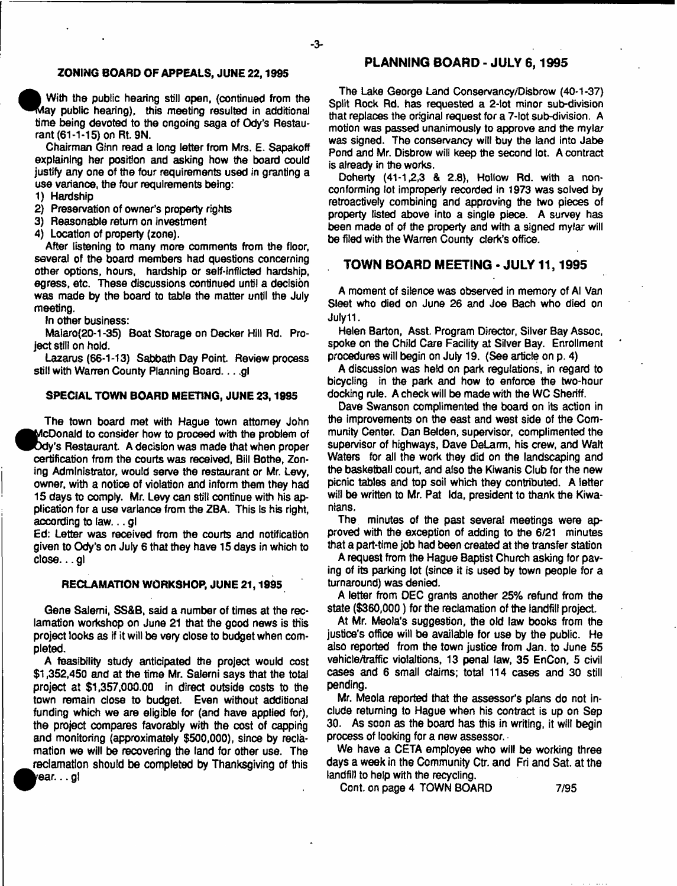### **ZONING BOARD OF APPEALS, JUNE 22,1995**

**With the public hearing still open, (continued from the ^ ^ la y public hearing), this meeting resulted in additional time being devoted to the ongoing saga of Ody's Restaurant (61-1-15) on Rt. 9N.**

**Chairman Ginn read a long letter from Mrs. E. Sapakoff explaining her position and asking how the board could justify any one of the four requirements used in granting a use variance, the four requirements being:**

- **1) Hardship**
- **2) Preservation of owner's property rights**
- **3) Reasonable return on investment**
- **4) Location of property (zone).**

**After listening to many more comments from the floor, several of the board members had questions concerning other options, hours, hardship or self-inflicted hardship, egress, etc. These discussions continued until a decision was made by the board to table the matter until the July meeting.**

**In other business:**

**•**

**Ma!aro(20-1 -35) Boat Storage on Decker Hill Rd. Project still on hold.**

**Lazarus (66-1-13) Sabbath Day Point Review process** still with Warren County Planning Board. . . .gl

### **SPECIAL TOWN BOARD MEETING, JUNE 23,1995**

**The town board met with Hague town attorney John « cDonald to consider how to proceed with the problem of dy's Restaurant A decision was made that when proper certification from the courts was received, Bill Bothe, Zoning Administrator, would serve the restaurant or Mr. Levy, owner, with a notice of violation and inform them they had 15 days to comply. Mr. Levy can still continue with his application for a use variance from the ZBA. This Is his right, according to law... gl**

**Ed: Letter was received from the courts and notificatibn given to Ody's on July 6 that they have 15 days in which to close... gl**

### **RECLAMATION WORKSHOP, JUNE 21,1995**

**Gene Salemi, SS&B, said a number of times at the reclamation workshop on June 21 that the good news is this project looks as if it will be very close to budget when completed.**

**A feasibility study anticipated the project would cost \$1,352,450 and at the time Mr. Salerni says that the total project at \$1,357,000.00 in direct outside costs to the town remain dose to budget. Even without additional funding which we are eligible for (and have applied for), the project compares favorably with the cost of capping and monitoring (approximately \$500,000), since by reclamation we will be recovering the land for other use. The reclamation should be completed by Thanksgiving of this te a r... gl**

# **PLANNING BOARD - JULY 6,1995**

**The Lake George Land Conservancy/Disbrow (40-1-37) Split Rock Rd. has requested a 2-lot minor sub-division that replaces the original request for a 7-tot sub-division. A motion was passed unanimously to approve and the mylar was signed. The conservancy will buy the land into Jabe Pond and Mr. Disbrow will keep the second lot. A contract is already in the works.**

**Doherty (41-1,2,3 & 2.8), Hollow Rd. with a nonconforming lot improperly recorded in 1973 was solved by retroactively combining and approving the two pieces of property listed above into a single piece. A survey has been made of of the property and with a signed mylar will be filed with the Warren County clerk's office.**

# **TOWN BOARD MEETING - JULY 11,1995**

**A moment of silence was observed in memory of Al Van Sleet who died on June 26 and Joe Bach who died on July11.**

**Helen Barton, Asst. Program Director, Silver Bay Assoc, spoke on the Child Care Facility at Silver Bay. Enrollment procedures will begin on July 19. (See article on p. 4)**

**A discussion was held on park regulations, in regard to bicycling in the park and how to enforce the two-hour docking rule. A check will be made with the WC Sheriff.**

**Dave Swanson complimented the board on its action in the improvements on the east and west side of the Community Center. Dan Belden, supervisor, complimented the supervisor of highways, Dave DeLarm, his crew, and Walt Waters for all the work they did on the landscaping and the basketball court, and also the Kiwanis Club for the new picnic tables and top soil which they contributed. A letter will be written to Mr. Pat Ida, president to thank the Kiwanians.**

**The minutes of the past several meetings were approved with the exception of adding to the 6/21 minutes that a part-time job had been created at the transfer station**

**A request from the Hague Baptist Church asking for paving of its parking lot (since it is used by town people for a turnaround) was denied.**

**A letter from DEC grants another 25% refund from the state (\$360,000) for the reclamation of the landfill project.**

**At Mr. Meola's suggestion, the old law books from the justice's office will be available for use by the public. He also reported from the town justice from Jan. to June 55 vehicle/traffic violaitions, 13 penal law, 35 EnCon, 5 civil cases and 6 small claims; total 114 cases and 30 still pending.**

**Mr. Meola reported that the assessor's plans do not include returning to Hague when his contract is up on Sep 30. As soon as the board has this in writing, it will begin process of looking for a new assessor.**

**We have a CETA employee who will be working three days a week in the Community Ctr. and Fri and Sat. at the landfill to help with the recycling.**

**Cont. on page 4 TOWN BOARD 7/95**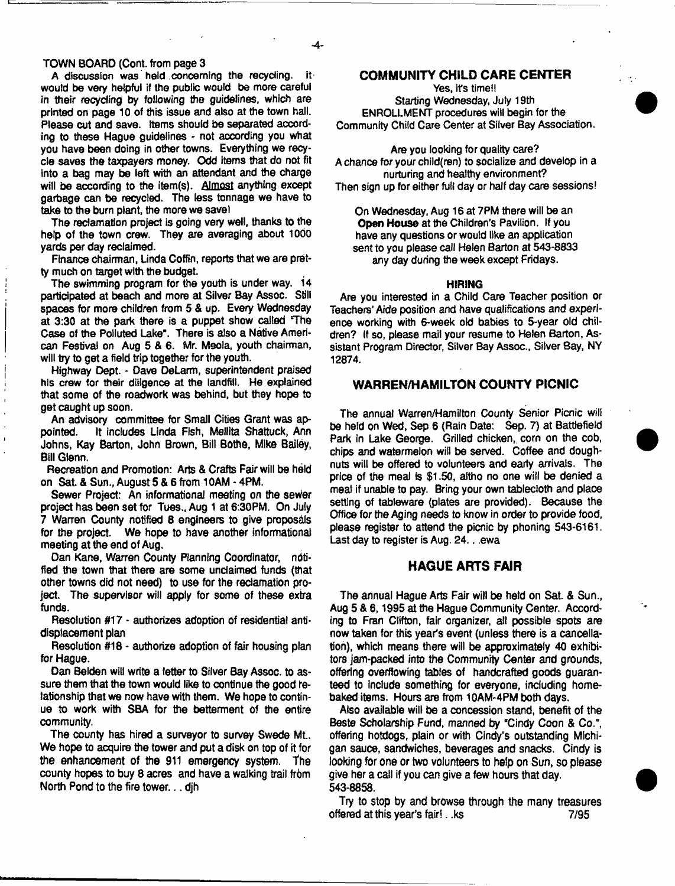### **TOWN BOARD (Cont. from page 3**

**A discussion was held concerning the recycling, it woutd be very helpful if the public would be more careful in their recycling by following the guidelines, which are printed on page 10 of this issue and also at the town hall.** Please cut and save. Items should be separated accord**ing to these Hague guidelines - not according you what you have been doing in other towns. Everything we recycle saves the taxpayers money. Odd Items that do not fit into a bag may be left with an attendant and the charge will be according to the item(s). Almost anything except garbage can be recycled. The less tonnage we have to take to the burn plant, the more we save!**

**The reclamation project is going very well, thanks to the help of the town crew. They are averaging about 1000 yards per day reclaimed.**

**Finance chairman, Unda Coffin, reports that we are pretty much on target with the budget.**

**The swimming program for toe youth is under way. 14 participated at beach and more at Silver Bay Assoc. Still spaces for more children from 5 & up. Every Wednesday at 3:30 at the park there is a puppet show called 'The** Case of the Polluted Lake". There is also a Native Ameri**can Festival on Aug 5 & 6. Mr. Meola, youth chairman, will try to get a field trip together for the youth.**

**Highway Dept. - Dave DeLarm, superintendent praised his crew for their diligence at the landfill. He explained** that some of the roadwork was behind, but they hope to **get caught up soon.**

An advisory committee for Small Cities Grant was appointed. It includes Linda Fish, Mellita Shattuck. Ann **pointed. It includes Linda Fish, Mellita Shattuck, Ann Johns, Kay Barton, John Brown, Bill Botho, Mike Bailey, Bill Glenn.**

**Recreation and Promotion: Arts & Crafts Fair will be held on Sat. & Sun., August 5& 6from 10AM -4PM .**

**Sewer Project: An informational meeting on the sewer project has been set for Tues., Aug 1 at 6:30PM. On July 7 Warren County notified 8 engineers to give proposals** for the project. We hope to have another informational **meeting at the end of Aug.**

**Dan Kane, Warren County Planning Coordinator, notified the town that there are some unclaimed funds (that other towns did not need) to use for the reclamation project. The supervisor will apply for some of these extra funds.**

**Resolution #17 - authorizes adoption of residential antidisplacement plan**

**Resolution #18 - authorize adoption of fair housing plan for Hague.**

**Dan Belden will write a tetter to Silver Bay Assoc, to as**sure them that the town would like to continue the good re**lationship that we now have with them. We hope to contin**ue to work with SBA for the betterment of the entire **community.**

**The county has hired a surveyor to survey Swede Mt..** We hope to acquire the tower and put a disk on top of it for the enhancement of the 911 emergency system. The **county hopes to buy 8 acres and have a walking trail from North Pond to the fire tower... djh**

# **COMMUNITY CHILD CARE CENTER**

**Yes, it's time!! Starting Wednesday, July 19th ENROLLMENT procedures will begin for the Community Child Care Center at Silver Bay Association.**

**Are you looking for quality care? A chance for your child(ren) to socialize and develop in a nurturing and healthy environment? Then sign up for either full day or half day care sessions!**

**On Wednesday, Aug 16 at 7PM there will be an** Open House at the Children's Pavilion. If you **have any questions or would like an application sent to you please call Helen Barton at 543-8833 any day during the week except Fridays.**

### **HIRING**

**Are you interested in a Child Care Teacher position or Teachers' Aide position and have qualifications and experience working with 6-week old babies to 5-year old children? If so, please mail your resume to Helen Barton, Assistant Program Director, Silver Bay Assoc., Silver Bay, NY 12874.**

# **WARREN/HAMILTON COUNTY PICNIC**

**The annual Warren/Hamilton County Senior Picnic will be held on Wed, Sep 6 (Rain Date: Sep. 7) at Battlefield** Park in Lake George. Grilled chicken, corn on the cob, **chips and watermelon will be served. Coffee and doughnuts will be offered to volunteers and early arrivals. The price of the meal is \$1.50, aftho no one will be denied a meal if unable to pay. Bring your own tablecloth and place setting of tableware (plates are provided). Because the Office for toe Aging needs to know in order to provide food,** please register to attend the picnic by phoning 543-6161. Last day to register is Aug. 24. . .ewa

# **HAGUE ARTS FAIR**

**The annual Hague Arts Fair will be held on Sat. & Sun., Aug 5 & 6,1995 at the Hague Community Center. According to Fran Clifton, fair organizer, all possible spots are now taken for this year's event (unless there is a cancellation), which means there will be approximately 40 exhibitors jam-packed into the Community Center and grounds, offering overflowing tables of handcrafted goods guaranteed to include something for everyone, including homebaked items. Hours are from 10AM-4PM both days.**

**Also available will be a concession stand, benefit of the Beste Scholarship Fund, manned by "Cindy Coon & Co.", offering hotdogs, plain or with Cindy's outstanding Michigan sauce, sandwiches, beverages and snacks. Cindy is looking for one or two volunteers to help on Sun, so please give her a call if you can give a few hours that day. 543-8858.**

**Try to stop by and browse through the many treasures offered at this year's fair!. ,ks 7/95**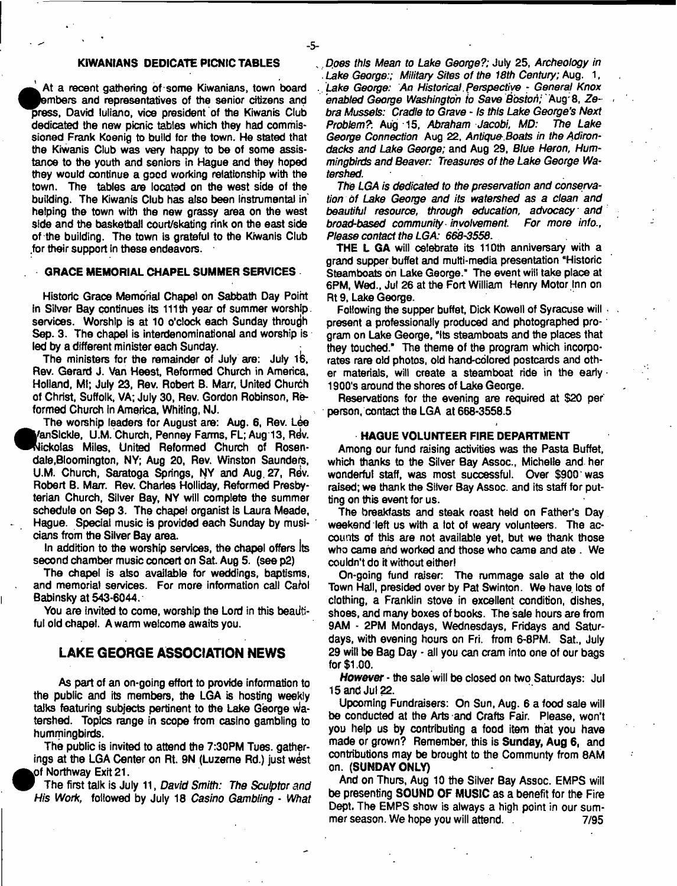### **KIWANIANS DEDICATE PICNIC TABLES**

- 5-

At a recent gathering of some Kiwanians, town board<br>embers and representatives of the senior citizens and<br>press, David Iuliano, vice president of the Kiwanis Club<br>dedicated the covy pippin tables which they had commis-**' At a recent gathering of some Kiwanians, town board »mbers and representatives of the senior citizens and dedicated the new picnic tables which they had commissioned Frank Koenig to build for the town. He stated that the Kiwanis Club was very happy to be of some assistance to the youth and seniors in Hague and they hoped they would continue a good working relationship with the town. The tables are located on the west side of the building. The Kiwanis Club has also been instrumental in' helping the town with the new grassy area on the west side and the baskelball court/skating rink on the east side of the building. The town is grateful to the Kiwanis Club .for their support in these endeavors.**

### **GRACE MEMORIAL CHAPEL SUMMER SERVICES**

**Historic Grace Memorial Chapel on Sabbath Day Point in Silver Bay continues its 111th year of summer worship, services. Worship is at 10 o'clock each Sunday through Sep. 3. The chapel is interdenominational and worship is led by a different minister each Sunday.**

**The ministers for the remainder of July are: July ife. Rev. Gerard J. Van Heest, Reformed Church in America, Holland, Ml; July 23, Rev. Robert B. Marr, United Church of Christ, Suffolk, VA; July 30, Rev. Gordon Robinson, Reformed Church in America, Whiting, NJ.**

**The worship leaders for August are: Aug. 6, Rev. Lee ^fc'anSlckle, U.M. Church, Penney Farms, FL; Aug 13, R^v.** Nickolas Miles, United Reformed Church of Rosen**dale,Bloomington, NY; Aug 20, Rev. Winston Saunders,** U.M. Church, Saratoga Springs, NY and Aug. 27, Rev. **Robert B. Marr. Rev. Charles Holliday, Reformed Presbyterian Church, Silver Bay, NY will complete the summer schedule on Sep 3. The chapel organist is Laura Meade, Hague. Special music is provided each Sunday by musicians from the Silver Bay area.**

**In addition to the worship services, the chapel offers** Its **second chamber music concert on Sat Aug 5. (see p2)**

**The chapel is also available for weddings, baptisms,** and memorial services. For more information call Carol **Babinsky at 543-6044.**

You are invited to come, worship the Lord in this beauti**fui old chapel. A warm welcome awaits you.**

# **LAKE GEORGE ASSOCIATION NEWS**

**As part of an on-going effort to provide information to the public and its members, the LGA is hosting weekly talks featuring subjects pertinent to the Lake George** Wa**tershed. Topics range in scope from casino gambling to hummingbirds.**

**The public is invited to attend the 7:30PM Tues. gatherings at the LGA Center on Rt. 9N (Luzerne Rd.) just west pf Northway Exit 21.**

**\* The first talk is July 11,** *David Smith: The Sculptor and His Work,* **followed by July 18** *Casino Gambling* **-** *What*

**•**

*Does this Mean to Lake George?;* **July 25,** *Archeology in Lake George:; Military Sites of the 18th Century;* **Aug. 1,** *Lake George: An Historical Perspective* **-** *General Knox enabled George Washington h* **Save** *Boston;* **Aug'8,** *Ze-* **>** *bra Mussels: Cradle to Grave - Is this Lake George's Next Problem?*: Aug 15, *Abraham Jacobi, MD:* George Connection Aug 22, Antique Boats in the Adiron*dacks and Lake George;* **and Aug 29,** *Blue Heron, Hummingbirds and Beaver: Treasures of the Lake George Watershed.*

*The LGA is dedicated to the preservation and conservation of Lake George and its watershed as a dean and beautiful resource, through education, advocacy and broad-based community involvement For more info., Please contact the LGA: 668-3558***.**

**THE L GA will celebrate its 110th anniversary with a grand supper buffet and mufti-media presentation "Historic Steamboats on Lake George." The event will take place at 6PM, Wed., Jul 26 at the Fort William Henry Motor Inn on Rt9, Lake George.**

**Following the supper buffet, Dick Kowell of Syracuse will , present a professionally produced and photographed pro-' gram on Lake George, "its steamboats and the places that they touched." The theme of the program which incorporates rare old photos, otd hand-colored postcards and oth**er materials, will create a steamboat ride in the early **· 1900's around the shores of Lake George.**

**Reservations for the evening are required at \$20 per person, contact the LGA at 668-3558.5**

### **HAGUE VOLUNTEER FIRE DEPARTMENT**

**Among our fund raising activities was the Pasta Buffet, which thanks to the Silver Bay Assoc., Michelle and her wonderful staff, was most successful. Over \$900 was raised; we thank the Silver Bay Assoc, and its staff for putting on this event for us.**

**The breakfasts and steak roast held on Father's Day weekend left us with a lot of weary volunteers. The accounts of this are not available yet, but we thank those who came and worked and those who came and ate . We couldn't do it without either!**

**On-going fund raiser: The rummage sale at the old Town Hall, presided over by Pat Swinton. We have lots of clothing, a Franklin stove in excellent condition, dishes, shoes, and many boxes of books. The sale hours are from 9AM - 2PM Mondays, Wednesdays, Fridays and Saturdays, with evening hours on Fri. from 6-8PM. Sat., July 29 wilt be Bag Day - all you can cram into one of our bags for \$1.00.**

*However* **- the sale will be closed on two Saturdays: Jul 15 and Jul 22.**

**Upcoming Fundraisers: On Sun, Aug. 6 a food sale will be conducted at the Arts and Crafts Fair. Please, won't you help us by contributing a food item that you have made or grown? Remember, this is Sunday, Aug 6, and contributions may be brought to the Communty from 8AM on. (SUNDAY ONLY)**

**And on Thurs, Aug 10 the Silver Bay Assoc. EMPS will be presenting SOUND OF MUSIC as a benefit for the Fire Dept. The EMPS show is always a high point in our summer season. We hope you will attend. . 7/95**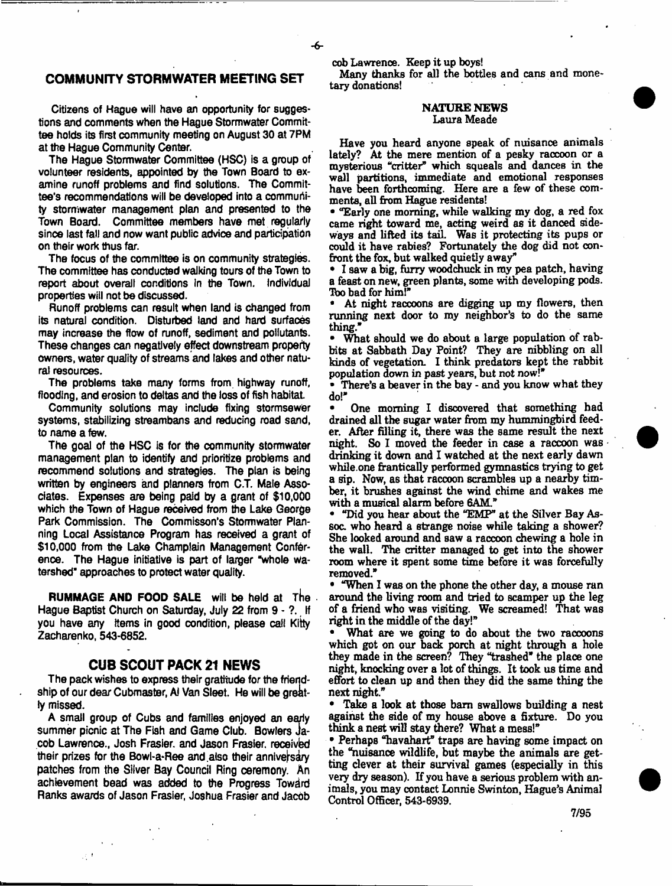# **COMMUNITY STORMWATER MEETING SET**

**Citizens of Hague will have an opportunity for suggestions and comments when the Hague Stormwater Committee holds its first community meeting on August 30 at 7PM at the Hague Community Center.**

**The Hague Stormwater Committee (HSC) is a group of volunteer residents, appointed by the Town Board to examine runoff problems and find solutions. The Committee's recommendations will be developed into a community stormwater management plan and presented to the Town Board. Committee members have met regularly since last fall and now want public advice and participation on their work thus far.**

**The focus of the committee is on community strategies. The committee has conducted walking tours of the Town to report about overall conditions in the Town. Individual properties will not be discussed.**

**Runoff problems can result when land is changed from its natural condition. Disturbed land and hard surfaces may increase the flow of runoff, sediment and pollutants. These changes can negatively effect downstream property owners, water quality of streams and lakes and other natural resources.**

**The problems take many forms from highway runoff, flooding, and erosion to deltas and the loss of fish habitat**

**Community solutions may include fixing stormsewer systems, stabilizing streambans and reducing road sand, to name a few.**

**The goal of the HSC is for the community stormwater management plan to identify and prioritize problems and recommend solutions and strategies. The plan is being** written by engineers and planners from C.T. Male Asso**ciates. Expenses are being paid by a grant of \$10,0b0 which the Town of Hague received from the Lake George Park Commission. The Commisson's Stormwater Planning Local Assistance Program has received a grant of \$10,000 from the Lake Champlain Management Conference. The Hague initiative is part of larger "whole watershed" approaches to protect water quality.**

**RUMMAGE AND FOOD SALE** will be held at The **Hague Baptist Church on Saturday, July 22 from 9 - ?. If you have any items in good condition, please call Kitty Zacharenko, 543-6852.**

# **CUB SCOUT PACK 21 NEWS**

**The pack wishes to express their gratitude for the friend**ship of our dear Cubmaster, AI Van Sleet. He will be great**ly missed.**

**A small group of Cubs and families enjoyed an eariy summer picnic at The Fish and Game Club. Bowlers** Ja**cob Lawrence., Josh Frasier, and Jason Frasier, received** their prizes for the Bowl-a-Ree and also their anniversary **patches from the Silver Bay Council Ring ceremony. An achievement bead was added to the Progress Toward Ranks awards of Jason Frasier, Joshua Frasier and Jacob**

 $\mathbf{r} = \mathbf{r}$ 

动力

**cob Lawrence. Keep it up boys!**

**Many thanks for all the bottles and cans and monetary donations!**

### **NATURE NEWS Laura Meade**

**Have you heard anyone speak of nuisance animals lately? At the mere mention of a pesky raccoon or a mysterious "critter" which squeals and dances in the wall partitions, immediate and emotional responses have been forthcoming. Here are a few of these comments, all from Hague residents!**

**• "Early one morning, while walking my dog, a red fox came right toward me, acting weird as it danced sideways and lifted its tail. Was it protecting its pups or could it have rabies? Fortunately the dog did not confront the fox, but walked quietly away''**

**• I saw a big, furry woodchuck in my pea patch, having a feast on new, green plants, some with developing pods. Tbo bad for him!\***

**• At night raccoons are digging up my flowers, then running next door to my neighbor's to do the same thing\***

What should we do about a large population of rab**bits at Sabbath Day Point? They are nibbling on all kinds of vegetation. I think predators kept the rabbit population down in past years, but not now!\***

**• There's a beaver in the bay - and you know what they do!\***

**• One morning I discovered that something had drained all the sugar water from my hummingbird feeder. After filling it, there was the same result the next night. So 1 moved the feeder in case a raccoon was drinking it down and I watched at the next early dawn while.one frantically performed gymnastics trying to get a sip. Now, as that raccoon scrambles up a nearby timber, it brushes against the wind chime and wakes me with a musical alarm before 6AM.\***

**• "Did you hear about the "EMP\* at the Silver Bay Assoc. who heard a strange noise while taking a shower? She looked around and saw a raccoon chewing a hole in the wall. The critter managed to get into the shower room where it spent some time before it was forcefully removed."**

**• "When I was on the phone the other day, a mouse ran around the living room and tried to scamper up the leg of a friend who was visiting. We screamed! That was right in the middle of the day!"**

**• What are we going to do about the two raccoons which got on our back porch at night through a hole they made in the screen? They "trashed" the place one night, knocking over a lot of things. It took us time and effort to clean up and then they did the same thing the next night"**

**• Take a look at those bam swallows building a nest against the side of my house above a fixture. Do you think a nest will stay there? What a mess!\***

**• Perhaps "havahart" traps are having some impact on the "nuisance wildlife, but maybe the animals are getting clever at their survival games (especially in this very dry season). If you have a serious problem with animals, you may contact Lonnie Swinton, Hague's Animal Control Officer, 543-6939.**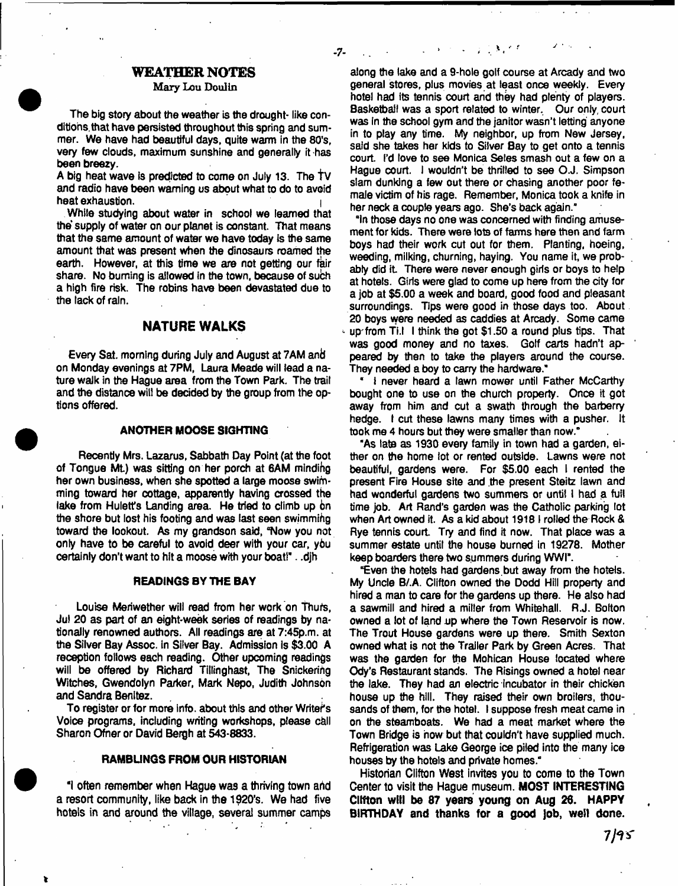# WEATHER NOTES

### **Mary Lou Doulin**

- 7-

**The big story about the weather is the drought- like conditions,that have persisted throughout this spring and summer. We have had beautiful days, quite warm in the 80's, very few clouds, maximum sunshine and generally it has been breezy.**

**A big heat wave Is predicted to come on July 13. The tv and radio have been warning us about what to do to avoid** heat exhaustion.

**While studying about water in school we teamed that the supply of water on our planet is constant. That means that the same amount of water we have today is the same amount that was present when the dinosaurs roamed the earth. However, at this time we are not getting our fair share. No burning is allowed in the town, because of such a high fire risk. The robins have been devastated due to the lack of rain.**

# **NATURE WALKS**

**Every Sat. morning during July and August at 7AM anti on Monday evenings at 7PM, Laura Meade will lead a nature walk in the Hague area from the Town Park. The trail and the distance will be decided by the group from the options offered.**

### **ANOTHER MOOSE SIGHTING**

**Recently Mrs. Lazarus, Sabbath Day Point (at the foot** of Tongue Mt.) was sitting on her porch at 6AM minding **her own business, when she spotted a large moose swimming toward her cottage, apparently having crossed the take from Huletfs Landing area. He tried to climb up bn the shore but lost his footing and was East seen swimming toward the lookout. As my grandson said, "Now you not only have to be careful to avoid deer with your car, ybu certainly don't want to hit a moose with your boat!". .djh**

### **READINGS BY THE BAY**

**Louise Meriwether will read from her work on Thufs, Jul 20 as part of an eight-week series of readings by nationally renowned authors. All readings are at 7:45p.m. at the Silver Bay Assoc. In Silver Bay. Admission Is \$3.00 A reception follows each reading. Other upcoming readings will be offered by Richard Tillinghast, The Snickering Witches, Gwendolyn Parker, Mark Nepo, Judith Johnson and Sandra Benitez.**

**To register or for more info, about this and other Writers** Voice programs, including writing workshops, please call **Sharon Ofner or David Bergh at 543-8833.**

### **RAMBUNGS FROM OUR HISTORIAN**

**"I often remember when Hague was a thriving town arid a resort community, like back in the 1920's. We had five hotels in and around the village, several summer camps**

**t**

**along the lake and a 9-hole golf course at Arcady and two general stores, plus movies at least once weekly. Every hotel had its tennis court and they had plenty of players. Basketball was a sport related to winter. Our only, court was In the school gym and the janitor wasn't letting' anyone in to play any time. My neighbor, up from New Jersey, said she takes her kids to Silver Bay to get onto a tennis** court. I'd love to see Monica Seles smash out a few on a **Hague court. I wouldn't be thrilled to see O.J. Simpson slam dunking a few out there or chasing another poor female victim of his rage. Remember, Monica took a knife in her neck a couple years ago. She's back again."**

**"In those days no one was concerned with finding amusement for kids. There were lots of famns here then and farm boys had their work cut out for them. Planting, hoeing, weeding, milking, churning, haying. You name it, we probably did it There were never enough girls or boys to help at hotels. Girts were glad to come up here from the city for a job at \$5.00 a week and board, good food and pleasant** surroundings. Tips were good in those days too. About **20 boys were needed as caddies at Arcady. Some came up'from Ti.l I think the got \$1.50 a round plus tips. That was good money and no taxes. Golf carts hadn't appeared by then to take the players around the course. They needed a boy to carry the hardware."**

**" I never heard a lawn mower until Father McCarthy bought one to use on the church property. Once it got away from him and cut a swath through the barberry hedge. I cut these lawns many times with a pusher. It took me 4 hours but they were smaller than now."**

**"As late as 1930 every family in town had a garden, either on the home lot or rented outside. Lawns were not beautiful, gardens were. For \$5.00 each I rented the present Fire House site and the present Steitz lawn and had wonderful gardens two summers or until I had a full time job. Art Rand's garden was the Catholic parking lot when Art owned it. As a kid about 19181 rolled the Rock & Rye tennis court Try and find it now. That place was a summer estate until the house burned in 19278. Mother keep boarders there two summers during WWI".**

**"Even the hotels had gardens.but away from the hotels. My Uncle B/.A. Clifton owned the Dodd Hill property and hired a man to care for the gardens up there. He also had a sawmill and hired a miller from Whitehall. R.J. Bolton owned a lot of land up where the Town Reservoir is now. The Trout House gardens were up there. Smith Sexton owned what is not the Trailer Park by Green Acres. That was the garden for the Mohican House located where Ody's Restaurant stands. The Risings owned a hotel near the lake. They had an electric incubator in their chicken house up the hill. They raised their own broilers, thousands of them, for the hotel. I suppose fresh meat came in on the steamboats. We had a meat market where the Town Bridge is now but that couldn't have supplied much. Refrigeration was Lake George ice piled into the many ice houses by the hotels and private homes."**

**Historian Clifton West invites you to come to the Town Center to visit the Hague museum. MOST INTERESTING Clffton will be 87 years young on Aug 26. HAPPY BIRTHDAY and thanks for a good Job, well done.**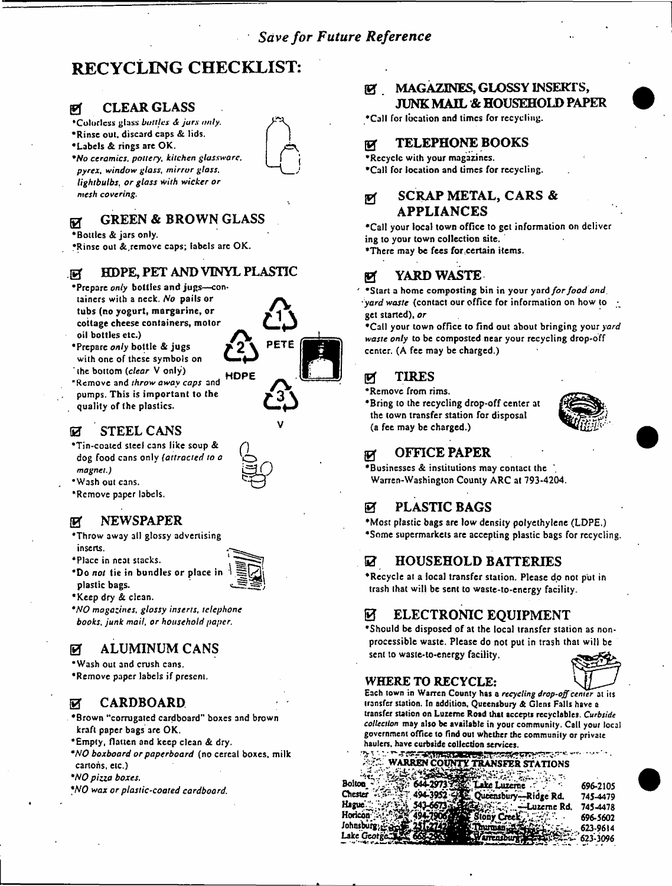# **RECYCLING CHECKLIST:**

# *0* CLEAR GLASS

- 'Colorless glass *bottles ja rs only,*
- •Rinse out. discard caps & lids.
- •Labels & rings are OK.
- *"No ceramics, pottery, kitchen glassware, pyrex, window glass, mirror glass, lightbulbs, or glass with wicker or mesh covering.*

#### GREEN & BROWN GLASS छ

# •Bottles & jars only.

•Rinse out &,remove caps; labels are OK.

# .0 HDPE, PET AND VINYL PLASTIC

- \*Prepare only bottles and jugs-containers with a neck. *No* pails or tubs (no yogurt, margarine, or cottage cheese containers, motor oil bottles etc.)
- \*Prepare only bottle & jugs with one of these symbols on the bottom *(clear* V only)
- \* Remove and *throw away caps* and pumps. This is important to the quality of the plastics. **HDPF**

# **DEAL STEEL CANS**

- •Tin-coated steel cans like soup & dog food cans only *(attracted to o magnet.)*
- •Wash out cans.
- •Remove paper labels.

# Ef NEWSPAPER

- •Throw away all glossy advertising inserts.
- •Place in neat stacks.
- *\*Do not* tie in bundles or place in plastic bags.
- •Keep dry & clean.
- *"NO magazines, glossy inserts, telephone books, junk mail, or household paper.*

# *B* ALUMINUM CANS

- •Wash out and crush cans.
- •Remove paper labels if present.

# *B* CARDBOARD

- ♦B row n ''corrugated cardboard" boxes and brown kraft paper bags are OK.
- •Empty, flatten and keep clean & dry.
- *"NO boxboard or paperboard* (no cereal boxes, milk cartons, etc.)
- *•NO pizza boxes.*
- *\*N 0 wax or plastic-coated cardboard.*

# 107 MAGAZINES, GLOSSY INSERTS, JUNK MAIL '& HOUSEHOLD PAPER

•Call for location and times for recycling.

# **EX TELEPHONE BOOKS**

•Recycle with your magazines. •Call for location and times for recycling.

# gf SCRAP METAL, CARS & APPLIANCES

•Call your local town office to gel information on deliver ing to your town collection site, •There may be fees for certain items.

# YARD WASTE.

\*Start a home composting bin in your yard *for food and*, *yard waste* (contact our office for information on how to • get started), *or*

•Call your town office to find out about bringing your *yard waste only* to be composted near your recycling drop-off center. (A fee may be charged.)

# *B* TIRES

- •Remove from rims.
- •Bring to the recycling drop-off center at the town transfer station for disposal (a fee may be charged.)



# 0 OFFICE PAPER

•Businesses & institutions may contact the Warren-Washington County ARC at 793-4204.

# *B* PLASTIC BAGS

•Most plastic bags are low density polyethylene (LDPE.) •Some supermarkets are accepting plastic bags for recycling.

# **EZ HOUSEHOLD BATTERIES**

•Recycle at a local transfer station. Please do not put in trash that will be sent to waste-to-energy facility.

# **EXECTRONIC EQUIPMENT**

•Should be disposed of at the local transfer station as nonprocessible waste. Please do not put in trash that will be sent to waste-to-energy facility.

# **WHERE TO RECYCLE: \_**

Each town in Wanen County has a *recycling drop-off center* at its transfer station. In addition, Queensbury & Glens Falls have a transfer station on Luzerne Road that accepts recyclables. *Curbside collection* may also be available in your community. Call your local government office to find out whether the community or private haulers, have curbside collection services.

| the party of the control of the control of the control of the control of the control of the control of the control of the control of the control of the control of the control of the control of the control of the control of |          |
|--------------------------------------------------------------------------------------------------------------------------------------------------------------------------------------------------------------------------------|----------|
| <b>WARREN COUNTY TRANSFER STATIONS</b>                                                                                                                                                                                         |          |
|                                                                                                                                                                                                                                |          |
|                                                                                                                                                                                                                                |          |
| الموستورية التجميد                                                                                                                                                                                                             |          |
| <b>Bolton</b><br>ske Luzerne                                                                                                                                                                                                   | 696-2105 |
|                                                                                                                                                                                                                                |          |
| Chester<br>494-3952 -<br>Queensbury-Ridge Rd.                                                                                                                                                                                  | 745-4479 |
|                                                                                                                                                                                                                                |          |
| Hague.<br>—Luzeme Rd.                                                                                                                                                                                                          | 745-4478 |
|                                                                                                                                                                                                                                |          |
| Horicon <sup>-</sup><br>reek.                                                                                                                                                                                                  | 696-5602 |
|                                                                                                                                                                                                                                |          |
| Johnsburg;                                                                                                                                                                                                                     | 623-9614 |
|                                                                                                                                                                                                                                |          |
| Lake George                                                                                                                                                                                                                    | 623-3096 |
|                                                                                                                                                                                                                                |          |
|                                                                                                                                                                                                                                |          |















**&**

PETE



# *&*

**A**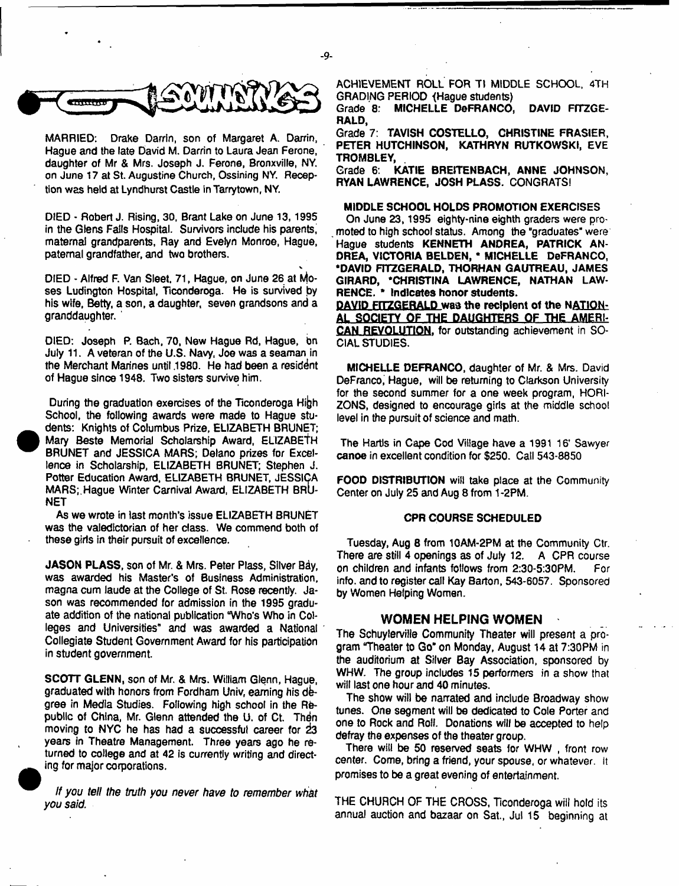

**MARRIED: Drake Darrin, son of Margaret A. Darrin, Hague and the late David M. Darrin to Laura Jean Ferone, daughter of Mr & Mrs. Joseph J. Ferone, Bronxville, NY. on June 17 at St. Augustine Church, Ossining NY. Reception was held at Lyndhurst Castle in Tarrytown, NY.**

**DIED - Robert J. Rising, 30, Brant Lake on June 13,1995 in the Glens Falls Hospital. Survivors include his parents, maternal grandparents, Ray and Evelyn Monroe, Hague, paternal grandfather, and two brothers.**

**DIED - Alfred F. Van Sleet. 71, Hague, on June 26 at Moses Ludington Hospital, Ticonderoga. He is survived by his wife, Betty, a son, a daughter, seven grandsons and a granddaughter. '**

**DIED: Joseph P. Bach, 70, New Hague Rd, Hague, bn July 11. A veteran of the U.S. Navy, Joe was a seaman in the Merchant Marines until .1980. He had been a resident of Hague since 1948. Two sisters survive him.**

During the graduation exercises of the Ticonderoga High **School, the following awards were made to Hague stu dents: Knights of Columbus Prize, ELIZABETH BRUNET; Mary Beste Memorial Scholarship Award, ELIZABETH BRUNET and JESSICA MARS; Delano prizes for Excellence in Scholarship, ELIZABETH BRUNET; Stephen J. Potter Education Award, ELIZABETH BRUNET, JESSICA MARS;. Hague Winter Carnival Award, ELIZABETH BRU-NET**

**•**

**As we wrote in last month's issue ELIZABETH BRUNET was the valedictorian of her class. We commend both of these girls in their pursuit of excellence.**

**JASON PLASS, son of Mr. & Mrs. Peter Plass, Silver Bay, was awarded his Master's of Business Administration, magna cum laude at the College of St. Rose recently. Jason was recommended for admission in the 1995 graduate addition of the national publication "Who's Who in Colleges and Universities" and was awarded a National Collegiate Student Government Award for his participation in student government**

**SCOTT GLENN, son of Mr. & Mrs. William Glenn, Hague, graduated with honors from Fordham Univ, earning his degree in Media Studies. Following high school in the Re**public of China, Mr. Glenn attended the U. of Ct. Then **moving to NYC he has had a successful career for** *iz* **years in Theatre Management. Three years ago he re**turned to college and at 42 is currently writing and direct**ing for major corporations.**

*If you tell the truth you never have to remember what you said*

**ACHIEVEMENT ROLL FOR Tl MIDDLE SCHOOL, 4TH GRADING PERIOD <Hague students)**

**Grade 8: MICHELLE DeFRANCO, DAVID FITZGE-RALD,**

**Grade 7: TAVISH COSTELLO, CHRISTINE FRASIER, PETER HUTCHINSON, KATHRYN RUTKOWSKI, EVE TROMBLEY,**

**Grade 6. KATIE BRE1TENBACH, ANNE JOHNSON, RYAN LAWRENCE, JOSH PLASS. CONGRATS!**

### **MIDDLE SCHOOL HOLDS PROMOTION EXERCISES**

**On June 23,1995 eighty-nine eighth graders were promoted to high school status. Among the "graduates" were Hague students KENNETH ANDREA, PATRICK AN-DREA, VICTORIA BELDEN, " MICHELLE DeFRANCO, "DAVID FITZGERALD, THORHAN GAUTREAU, JAMES GIRARD, "CHRISTINA LAWRENCE, NATHAN LAW-RENCE. \* Indicates honor students.**

**DAVID FrTZGERALD was the recipient of the NATION-AL SOCIETY OF THE DAUGHTERS OF THE AMERI-CAN REVOLUTION, for outstanding achievement in SO-CIAL STUDIES.**

**MICHELLE DEFRANCO, daughter of Mr. & Mrs. David DeFranco, Hague, will be returning to Clarkson University for the second summer for a one week program, HORI-ZONS, designed to encourage girls at the middle school level in the pursuit of science and math.**

**The Hartls in Cape Cod Village have a 1991 16' Sawyer canoe in excellent condition for \$250. Call 543-8850**

**FOOD DISTRIBUTION will take place at the Community Center on July 25 and Aug 8 from 1-2PM.**

### **CPR COURSE SCHEDULED**

**Tuesday, Aug 8 from 10AM-2PM at the Community Ctr. There are still 4 openings as of July 12. A CPR course on children and infants follows from 2:30-5:30PM. For info, and to register call Kay Barton, 543-6057. Sponsored by Women Helping Women.**

### **WOMEN HELPING WOMEN**

**The Schuylerville Community Theater will present a program "Theater to Go" on Monday, August 14 at 7:30PM in the auditorium at Silver Bay Association, sponsored by WHW. The group includes 15 performers in a show that will last one hour and 40 minutes.**

**The show will be narrated and include Broadway show tunes. One segment will be dedicated to Cole Porter and one to Rock and Roll. Donations will be accepted to help defray the expenses of the theater group.**

**There will be 50 reserved seats for WHW , front row center. Come, bring a friend, your spouse, or whatever.** It **promises to be a great evening of entertainment.**

**THE CHURCH OF THE CROSS, Ticonderoga will hold its annual auction and bazaar on Sat., Jul 15 beginning at**